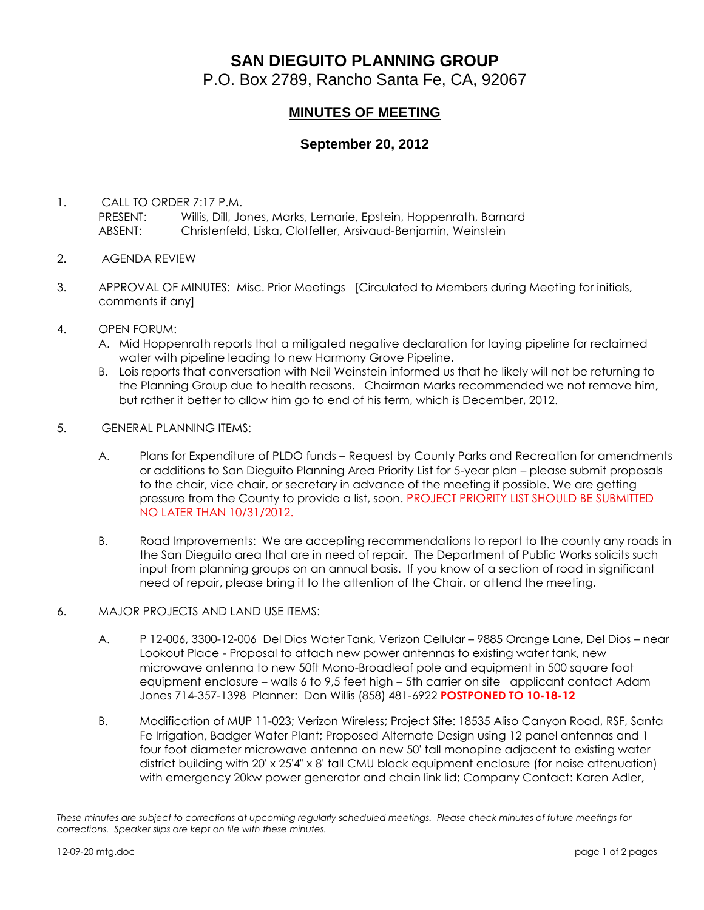## **SAN DIEGUITO PLANNING GROUP**

P.O. Box 2789, Rancho Santa Fe, CA, 92067

## **MINUTES OF MEETING**

## **September 20, 2012**

- 1. CALL TO ORDER 7:17 P.M. PRESENT: Willis, Dill, Jones, Marks, Lemarie, Epstein, Hoppenrath, Barnard ABSENT: Christenfeld, Liska, Clotfelter, Arsivaud-Benjamin, Weinstein
- 2. AGENDA REVIEW
- 3. APPROVAL OF MINUTES: Misc. Prior Meetings [Circulated to Members during Meeting for initials, comments if any]
- 4. OPEN FORUM:
	- A. Mid Hoppenrath reports that a mitigated negative declaration for laying pipeline for reclaimed water with pipeline leading to new Harmony Grove Pipeline.
	- B. Lois reports that conversation with Neil Weinstein informed us that he likely will not be returning to the Planning Group due to health reasons. Chairman Marks recommended we not remove him, but rather it better to allow him go to end of his term, which is December, 2012.
- 5. GENERAL PLANNING ITEMS:
	- A. Plans for Expenditure of PLDO funds Request by County Parks and Recreation for amendments or additions to San Dieguito Planning Area Priority List for 5-year plan – please submit proposals to the chair, vice chair, or secretary in advance of the meeting if possible. We are getting pressure from the County to provide a list, soon. PROJECT PRIORITY LIST SHOULD BE SUBMITTED NO LATER THAN 10/31/2012.
	- B. Road Improvements: We are accepting recommendations to report to the county any roads in the San Dieguito area that are in need of repair. The Department of Public Works solicits such input from planning groups on an annual basis. If you know of a section of road in significant need of repair, please bring it to the attention of the Chair, or attend the meeting.
- 6. MAJOR PROJECTS AND LAND USE ITEMS:
	- A. P 12-006, 3300-12-006 Del Dios Water Tank, Verizon Cellular 9885 Orange Lane, Del Dios near Lookout Place - Proposal to attach new power antennas to existing water tank, new microwave antenna to new 50ft Mono-Broadleaf pole and equipment in 500 square foot equipment enclosure – walls 6 to 9,5 feet high – 5th carrier on site applicant contact Adam Jones 714-357-1398 Planner: Don Willis (858) 481-6922 **POSTPONED TO 10-18-12**
	- B. Modification of MUP 11-023; Verizon Wireless; Project Site: 18535 Aliso Canyon Road, RSF, Santa Fe Irrigation, Badger Water Plant; Proposed Alternate Design using 12 panel antennas and 1 four foot diameter microwave antenna on new 50' tall monopine adjacent to existing water district building with 20' x 25'4" x 8' tall CMU block equipment enclosure (for noise attenuation) with emergency 20kw power generator and chain link lid; Company Contact: Karen Adler,

*These minutes are subject to corrections at upcoming regularly scheduled meetings. Please check minutes of future meetings for corrections. Speaker slips are kept on file with these minutes.*